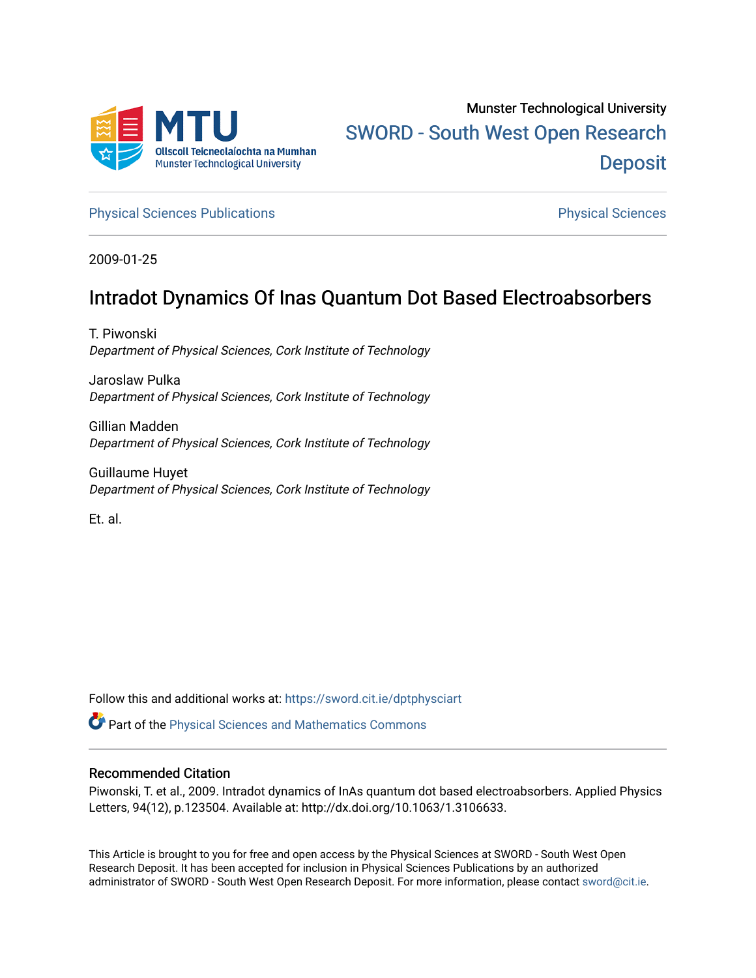

[Physical Sciences Publications](https://sword.cit.ie/dptphysciart) **Physical Sciences** Physical Sciences

2009-01-25

# Intradot Dynamics Of Inas Quantum Dot Based Electroabsorbers

T. Piwonski Department of Physical Sciences, Cork Institute of Technology

Jaroslaw Pulka Department of Physical Sciences, Cork Institute of Technology

Gillian Madden Department of Physical Sciences, Cork Institute of Technology

Guillaume Huyet Department of Physical Sciences, Cork Institute of Technology

Et. al.

Follow this and additional works at: [https://sword.cit.ie/dptphysciart](https://sword.cit.ie/dptphysciart?utm_source=sword.cit.ie%2Fdptphysciart%2F25&utm_medium=PDF&utm_campaign=PDFCoverPages)

**C** Part of the Physical Sciences and Mathematics Commons

### Recommended Citation

Piwonski, T. et al., 2009. Intradot dynamics of InAs quantum dot based electroabsorbers. Applied Physics Letters, 94(12), p.123504. Available at: http://dx.doi.org/10.1063/1.3106633.

This Article is brought to you for free and open access by the Physical Sciences at SWORD - South West Open Research Deposit. It has been accepted for inclusion in Physical Sciences Publications by an authorized administrator of SWORD - South West Open Research Deposit. For more information, please contact [sword@cit.ie.](mailto:sword@cit.ie)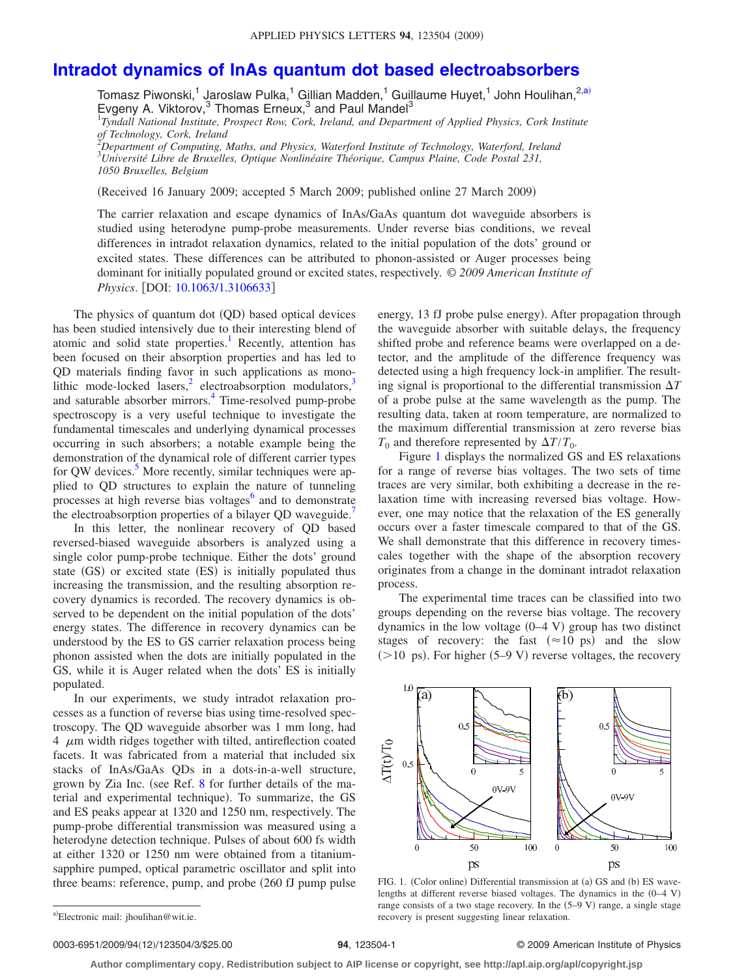## **[Intradot dynamics of InAs quantum dot based electroabsorbers](http://dx.doi.org/10.1063/1.3106633)**

Tomasz Piwonski,<sup>1</sup> Jaroslaw Pulka,<sup>1</sup> Gillian Madden,<sup>1</sup> Guillaume Huyet,<sup>1</sup> John Houlihan,<sup>2[,a](#page-1-0))</sup> Evgeny A. Viktorov, $3$  Thomas Erneux, $3$  and Paul Mandel $3$ 

1 *Tyndall National Institute, Prospect Row, Cork, Ireland, and Department of Applied Physics, Cork Institute of Technology, Cork, Ireland*

2 *Department of Computing, Maths, and Physics, Waterford Institute of Technology, Waterford, Ireland* 3 *Université Libre de Bruxelles, Optique Nonlinéaire Théorique, Campus Plaine, Code Postal 231, 1050 Bruxelles, Belgium*

Received 16 January 2009; accepted 5 March 2009; published online 27 March 2009-

The carrier relaxation and escape dynamics of InAs/GaAs quantum dot waveguide absorbers is studied using heterodyne pump-probe measurements. Under reverse bias conditions, we reveal differences in intradot relaxation dynamics, related to the initial population of the dots' ground or excited states. These differences can be attributed to phonon-assisted or Auger processes being dominant for initially populated ground or excited states, respectively. © *2009 American Institute of Physics.* [DOI: [10.1063/1.3106633](http://dx.doi.org/10.1063/1.3106633)]

The physics of quantum dot (QD) based optical devices has been studied intensively due to their interesting blend of atomic and solid state properties.<sup>1</sup> Recently, attention has been focused on their absorption properties and has led to QD materials finding favor in such applications as monolithic mode-locked lasers,<sup>2</sup> electroabsorption modulators,<sup>3</sup> and saturable absorber mirrors.<sup>4</sup> Time-resolved pump-probe spectroscopy is a very useful technique to investigate the fundamental timescales and underlying dynamical processes occurring in such absorbers; a notable example being the demonstration of the dynamical role of different carrier types for QW devices. $5$  More recently, similar techniques were applied to QD structures to explain the nature of tunneling processes at high reverse bias voltages $<sup>6</sup>$  and to demonstrate</sup> the electroabsorption properties of a bilayer OD waveguide.<sup>7</sup>

In this letter, the nonlinear recovery of QD based reversed-biased waveguide absorbers is analyzed using a single color pump-probe technique. Either the dots' ground state (GS) or excited state (ES) is initially populated thus increasing the transmission, and the resulting absorption recovery dynamics is recorded. The recovery dynamics is observed to be dependent on the initial population of the dots' energy states. The difference in recovery dynamics can be understood by the ES to GS carrier relaxation process being phonon assisted when the dots are initially populated in the GS, while it is Auger related when the dots' ES is initially populated.

In our experiments, we study intradot relaxation processes as a function of reverse bias using time-resolved spectroscopy. The QD waveguide absorber was 1 mm long, had  $4 \mu m$  width ridges together with tilted, antireflection coated facets. It was fabricated from a material that included six stacks of InAs/GaAs QDs in a dots-in-a-well structure, grown by Zia Inc. (see Ref.  $8$  for further details of the material and experimental technique). To summarize, the GS and ES peaks appear at 1320 and 1250 nm, respectively. The pump-probe differential transmission was measured using a heterodyne detection technique. Pulses of about 600 fs width at either 1320 or 1250 nm were obtained from a titaniumsapphire pumped, optical parametric oscillator and split into three beams: reference, pump, and probe 260 fJ pump pulse

energy, 13 fJ probe pulse energy). After propagation through the waveguide absorber with suitable delays, the frequency shifted probe and reference beams were overlapped on a detector, and the amplitude of the difference frequency was detected using a high frequency lock-in amplifier. The resulting signal is proportional to the differential transmission  $\Delta T$ of a probe pulse at the same wavelength as the pump. The resulting data, taken at room temperature, are normalized to the maximum differential transmission at zero reverse bias  $T_0$  and therefore represented by  $\Delta T/T_0$ .

Figure [1](#page-1-1) displays the normalized GS and ES relaxations for a range of reverse bias voltages. The two sets of time traces are very similar, both exhibiting a decrease in the relaxation time with increasing reversed bias voltage. However, one may notice that the relaxation of the ES generally occurs over a faster timescale compared to that of the GS. We shall demonstrate that this difference in recovery timescales together with the shape of the absorption recovery originates from a change in the dominant intradot relaxation process.

The experimental time traces can be classified into two groups depending on the reverse bias voltage. The recovery dynamics in the low voltage  $(0-4 \text{ V})$  group has two distinct stages of recovery: the fast  $(\approx 10 \text{ ps})$  and the slow  $(>10 \text{ ps})$ . For higher (5–9 V) reverse voltages, the recovery

<span id="page-1-1"></span>

FIG. 1. (Color online) Differential transmission at (a) GS and (b) ES wavelengths at different reverse biased voltages. The dynamics in the  $(0-4 \text{ V})$ range consists of a two stage recovery. In the  $(5-9 V)$  range, a single stage recovery is present suggesting linear relaxation.

0003-6951/2009/94(12)/123504/3/\$25.00

#### **94**, 123504-1 © 2009 American Institute of Physics

**Author complimentary copy. Redistribution subject to AIP license or copyright, see http://apl.aip.org/apl/copyright.jsp**

<span id="page-1-0"></span>a)Electronic mail: jhoulihan@wit.ie.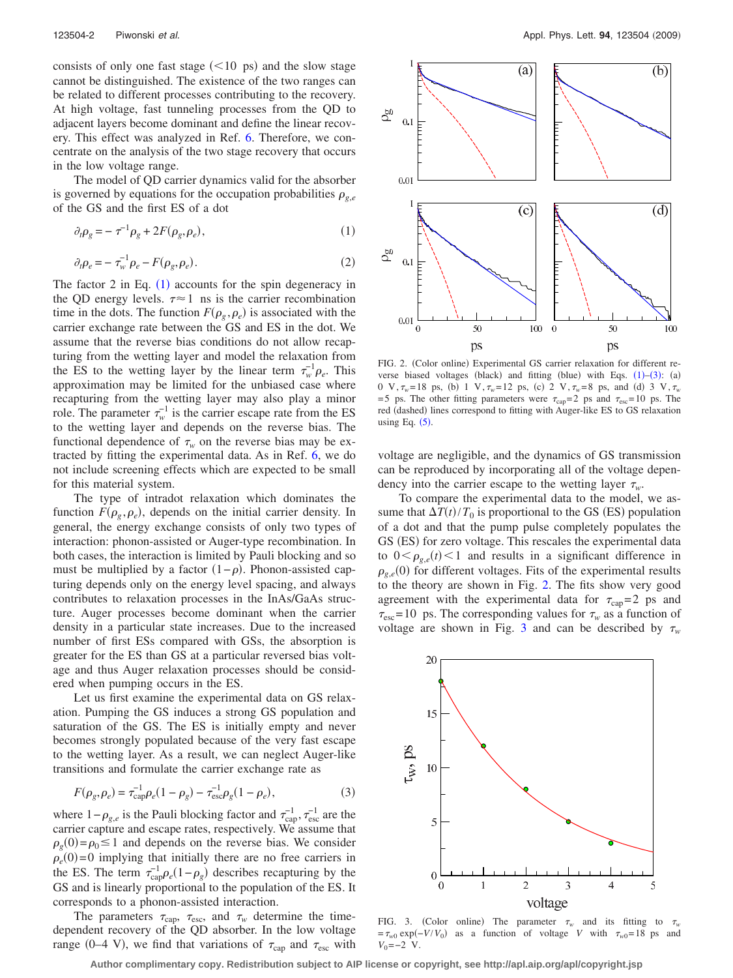consists of only one fast stage  $(<10 \text{ ps})$  and the slow stage cannot be distinguished. The existence of the two ranges can be related to different processes contributing to the recovery. At high voltage, fast tunneling processes from the QD to adjacent layers become dominant and define the linear recovery. This effect was analyzed in Ref. [6.](#page-3-5) Therefore, we concentrate on the analysis of the two stage recovery that occurs in the low voltage range.

<span id="page-2-0"></span>The model of QD carrier dynamics valid for the absorber is governed by equations for the occupation probabilities  $\rho_{e,e}$ of the GS and the first ES of a dot

$$
\partial_t \rho_g = -\tau^{-1} \rho_g + 2F(\rho_g, \rho_e),\tag{1}
$$

$$
\partial_t \rho_e = -\tau_w^{-1} \rho_e - F(\rho_g, \rho_e). \tag{2}
$$

The factor 2 in Eq.  $(1)$  $(1)$  $(1)$  accounts for the spin degeneracy in the QD energy levels.  $\tau \approx 1$  ns is the carrier recombination time in the dots. The function  $F(\rho_g, \rho_e)$  is associated with the carrier exchange rate between the GS and ES in the dot. We assume that the reverse bias conditions do not allow recapturing from the wetting layer and model the relaxation from the ES to the wetting layer by the linear term  $\tau_w^{-1} \rho_e$ . This approximation may be limited for the unbiased case where recapturing from the wetting layer may also play a minor role. The parameter  $\tau_w^{-1}$  is the carrier escape rate from the ES to the wetting layer and depends on the reverse bias. The functional dependence of  $\tau_w$  on the reverse bias may be extracted by fitting the experimental data. As in Ref. [6,](#page-3-5) we do not include screening effects which are expected to be small for this material system.

The type of intradot relaxation which dominates the function  $F(\rho_g, \rho_e)$ , depends on the initial carrier density. In general, the energy exchange consists of only two types of interaction: phonon-assisted or Auger-type recombination. In both cases, the interaction is limited by Pauli blocking and so must be multiplied by a factor  $(1-\rho)$ . Phonon-assisted capturing depends only on the energy level spacing, and always contributes to relaxation processes in the InAs/GaAs structure. Auger processes become dominant when the carrier density in a particular state increases. Due to the increased number of first ESs compared with GSs, the absorption is greater for the ES than GS at a particular reversed bias voltage and thus Auger relaxation processes should be considered when pumping occurs in the ES.

<span id="page-2-3"></span>Let us first examine the experimental data on GS relaxation. Pumping the GS induces a strong GS population and saturation of the GS. The ES is initially empty and never becomes strongly populated because of the very fast escape to the wetting layer. As a result, we can neglect Auger-like transitions and formulate the carrier exchange rate as

$$
F(\rho_g, \rho_e) = \tau_{\text{cap}}^{-1} \rho_e (1 - \rho_g) - \tau_{\text{esc}}^{-1} \rho_g (1 - \rho_e),
$$
\n(3)

where  $1-\rho_{g,e}$  is the Pauli blocking factor and  $\tau_{cap}^{-1}, \tau_{esc}^{-1}$  are the carrier capture and escape rates, respectively. We assume that  $\rho_g(0) = \rho_0 \le 1$  and depends on the reverse bias. We consider  $\rho_e(0)$ =0 implying that initially there are no free carriers in the ES. The term  $\tau_{\rm cap}^{-1} \rho_e (1 - \rho_g)$  describes recapturing by the GS and is linearly proportional to the population of the ES. It corresponds to a phonon-assisted interaction.

The parameters  $\tau_{\text{cap}}$ ,  $\tau_{\text{esc}}$ , and  $\tau_w$  determine the timedependent recovery of the QD absorber. In the low voltage range (0–4 V), we find that variations of  $\tau_{cap}$  and  $\tau_{esc}$  with

<span id="page-2-1"></span>

FIG. 2. (Color online) Experimental GS carrier relaxation for different reverse biased voltages (black) and fitting (blue) with Eqs.  $(1)$  $(1)$  $(1)$ – $(3)$  $(3)$  $(3)$ :  $(a)$ 0 V,  $\tau_w$ =18 ps, (b) 1 V,  $\tau_w$ =12 ps, (c) 2 V,  $\tau_w$ =8 ps, and (d) 3 V,  $\tau_w$ =5 ps. The other fitting parameters were  $\tau_{cap} = 2$  ps and  $\tau_{esc} = 10$  ps. The red (dashed) lines correspond to fitting with Auger-like ES to GS relaxation using Eq.  $(5)$  $(5)$  $(5)$ .

voltage are negligible, and the dynamics of GS transmission can be reproduced by incorporating all of the voltage dependency into the carrier escape to the wetting layer  $\tau_w$ .

To compare the experimental data to the model, we assume that  $\Delta T(t)/T_0$  is proportional to the GS (ES) population of a dot and that the pump pulse completely populates the GS (ES) for zero voltage. This rescales the experimental data to  $0 < \rho_{g,e}(t) < 1$  and results in a significant difference in  $\rho_{g,e}(0)$  for different voltages. Fits of the experimental results to the theory are shown in Fig. [2.](#page-2-1) The fits show very good agreement with the experimental data for  $\tau_{\rm cap} = 2$  ps and  $\tau_{\text{esc}}$ =10 ps. The corresponding values for  $\tau_w$  as a function of voltage are shown in Fig. [3](#page-2-2) and can be described by  $\tau_w$ 

<span id="page-2-2"></span>

FIG. 3. (Color online) The parameter  $\tau_w$  and its fitting to  $\tau_w$  $=\tau_{w0} \exp(-V/V_0)$  as a function of voltage *V* with  $\tau_{w0}=18$  ps and *V*<sub>0</sub>=−2 V.

**Author complimentary copy. Redistribution subject to AIP license or copyright, see http://apl.aip.org/apl/copyright.jsp**